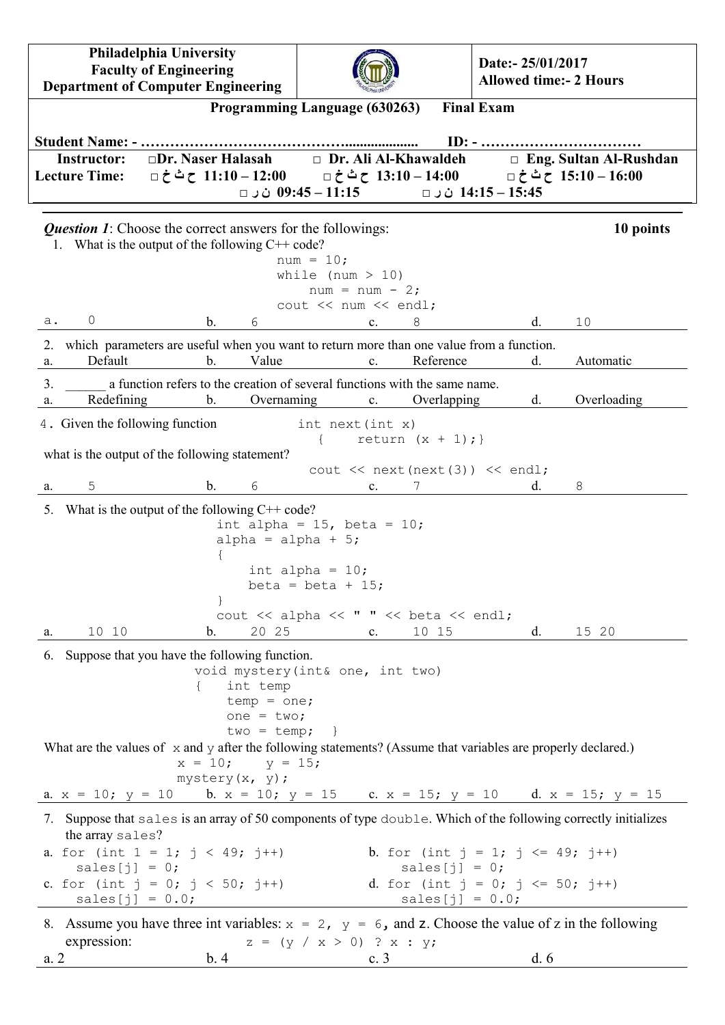**Philadelphia University Faculty of Engineering Department of Computer Engineering**



**Date:- 25/01/2017 Allowed time:- 2 Hours**

|                                                                       |                                                                                                                                                      | Programming Language (630263)                                                                                                                    | <b>Final Exam</b>                                                  |     |                                                        |
|-----------------------------------------------------------------------|------------------------------------------------------------------------------------------------------------------------------------------------------|--------------------------------------------------------------------------------------------------------------------------------------------------|--------------------------------------------------------------------|-----|--------------------------------------------------------|
| <b>Student Name: - </b><br><b>Instructor:</b><br><b>Lecture Time:</b> | $\square$ Dr. Naser Halasah<br>00:14 – 13:10 ح ٹ خ □ = 11:10 ح ٹ خ □ = 13:10 ح ٹ خ □                                                                 | Dr. Ali Al-Khawaldeh<br>11:15 – 9:45 ن ر □                                                                                                       | 14:15 – 14:15 ن ر □                                                |     | $\Box$ Eng. Sultan Al-Rushdan<br>15:10 – 15:10 ح ٹ خ □ |
|                                                                       | <b>Question 1:</b> Choose the correct answers for the followings:                                                                                    |                                                                                                                                                  |                                                                    |     | 10 points                                              |
|                                                                       | 1. What is the output of the following $C++code$                                                                                                     | $num = 10;$                                                                                                                                      |                                                                    |     |                                                        |
|                                                                       |                                                                                                                                                      | while (num $> 10$ )<br>$num = num - 2;$                                                                                                          |                                                                    |     |                                                        |
|                                                                       |                                                                                                                                                      | cout << num << endl;                                                                                                                             |                                                                    |     |                                                        |
| $\circ$<br>a.                                                         | $\mathbf{b}$ .<br>6                                                                                                                                  | c.                                                                                                                                               | 8                                                                  | d.  | 10                                                     |
| 2.<br>Default<br>a.                                                   | which parameters are useful when you want to return more than one value from a function.<br>Value<br>$\mathbf{b}$ .                                  | $\mathbf{c}$ .                                                                                                                                   | Reference                                                          | d.  | Automatic                                              |
| 3.                                                                    | a function refers to the creation of several functions with the same name.                                                                           |                                                                                                                                                  |                                                                    |     |                                                        |
| Redefining<br>a.                                                      | $\mathbf b$ .                                                                                                                                        | Overnaming<br>c.                                                                                                                                 | Overlapping                                                        | d.  | Overloading                                            |
| 4. Given the following function                                       |                                                                                                                                                      | $int$ next (int $x$ )                                                                                                                            | return $(x + 1)$ ; }                                               |     |                                                        |
|                                                                       | what is the output of the following statement?                                                                                                       |                                                                                                                                                  | cout $\lt$ next (next (3)) $\lt$ endl;                             |     |                                                        |
| 5<br>a.                                                               | $\mathbf{b}$ .<br>6                                                                                                                                  | $\mathbf{c}$ .                                                                                                                                   |                                                                    | d.  | 8                                                      |
|                                                                       | $\mathcal{F}$                                                                                                                                        | int alpha = $15$ , beta = $10$ ;<br>alpha = alpha + $5$ ;<br>int alpha = $10$ ;<br>beta = beta + $15$ ;<br>cout << alpha << " " << beta << endl; |                                                                    |     |                                                        |
| 10 10<br>a.                                                           | 20 25<br>$\mathbf{b}$ .                                                                                                                              | $c_{\cdot}$                                                                                                                                      | 10 15                                                              | d.  | 15 20                                                  |
|                                                                       | 6. Suppose that you have the following function.<br>int temp<br>$temp = one;$<br>one = $two;$<br>$two = temp;$                                       | void mystery (int& one, int two)                                                                                                                 |                                                                    |     |                                                        |
|                                                                       | What are the values of $\bar{x}$ and $\bar{y}$ after the following statements? (Assume that variables are properly declared.)<br>$x = 10;$ $y = 15;$ |                                                                                                                                                  |                                                                    |     |                                                        |
|                                                                       | $mystery(x, y)$ ;<br>a. $x = 10$ ; $y = 10$ b. $x = 10$ ; $y = 15$ c. $x = 15$ ; $y = 10$ d. $x = 15$ ; $y = 15$                                     |                                                                                                                                                  |                                                                    |     |                                                        |
|                                                                       | 7. Suppose that sales is an array of 50 components of type double. Which of the following correctly initializes                                      |                                                                                                                                                  |                                                                    |     |                                                        |
| the array sales?<br>sales $[j] = 0;$                                  | a. for (int $1 = 1$ ; $j < 49$ ; $j^{++}$ )                                                                                                          |                                                                                                                                                  | b. for (int $j = 1$ ; $j \le 49$ ; $j^{++}$ )<br>sales $[j] = 0;$  |     |                                                        |
| $sales[j] = 0.0;$                                                     | c. for (int $j = 0; j < 50; j++)$                                                                                                                    |                                                                                                                                                  | d. for (int $j = 0$ ; $j \le 50$ ; $j^{++}$ )<br>$sales[j] = 0.0;$ |     |                                                        |
|                                                                       | 8. Assume you have three int variables: $x = 2$ , $y = 6$ , and z. Choose the value of z in the following                                            |                                                                                                                                                  |                                                                    |     |                                                        |
| expression:<br>a.2                                                    | b.4                                                                                                                                                  | $z = (y / x > 0)$ ? x : y;<br>c. $3$                                                                                                             |                                                                    | d.6 |                                                        |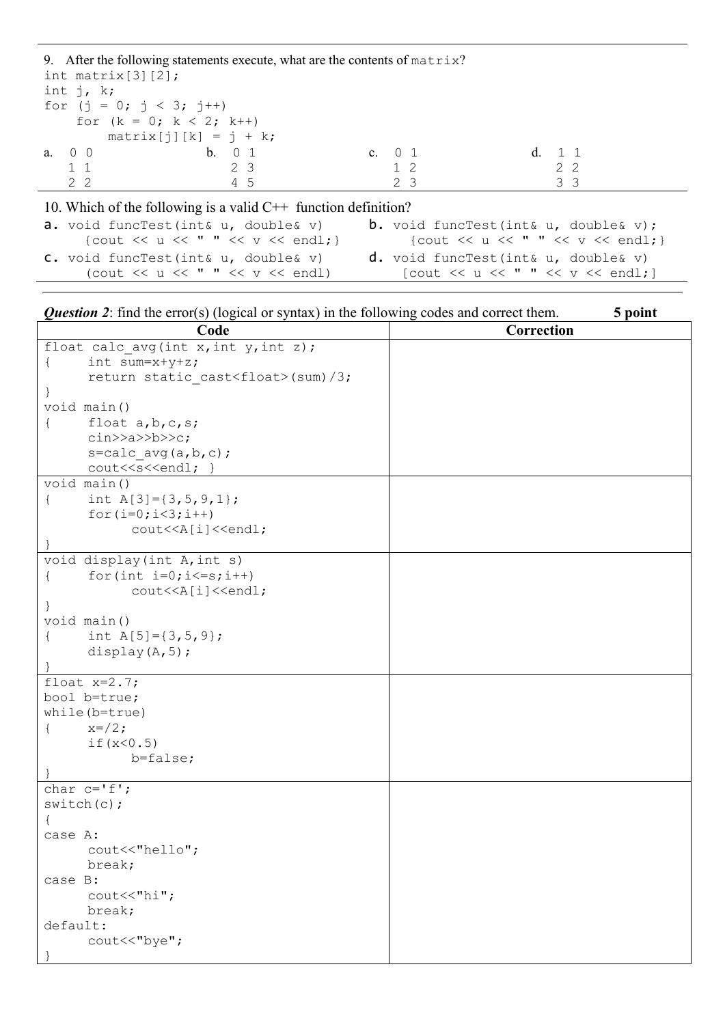|                           |                                                                  | 9. After the following statements execute, what are the contents of $matrix?$ |                                                   |  |
|---------------------------|------------------------------------------------------------------|-------------------------------------------------------------------------------|---------------------------------------------------|--|
| int matrix $[3][2]$ ;     |                                                                  |                                                                               |                                                   |  |
| int $j$ , $k$ ;           |                                                                  |                                                                               |                                                   |  |
| for $(j = 0; j < 3; j++)$ |                                                                  |                                                                               |                                                   |  |
| for $(k = 0; k < 2; k++)$ |                                                                  |                                                                               |                                                   |  |
|                           | $matrix[j][k] = j + k;$                                          |                                                                               |                                                   |  |
| a. 0 0                    | b. 0 1                                                           | c. 0 1                                                                        | d. 1 1                                            |  |
| 11                        | 2 3                                                              | 1 2                                                                           | $2^{2}$                                           |  |
| 2 2                       | 4 5                                                              | 2 3                                                                           | 3 <sup>3</sup>                                    |  |
|                           | 10. Which of the following is a valid $C++$ function definition? |                                                                               |                                                   |  |
|                           | a. void funcTest(int& u, double& v)                              |                                                                               | <b>b.</b> void funcTest(int& $u$ , double& $v$ ); |  |

| {cout << u << " " << v << endl; }                | {cout << u << " " << v << endl; }                     |  |
|--------------------------------------------------|-------------------------------------------------------|--|
| C. void funcTest(int& u, double& v)              | $d.$ void funcTest(int& u, double& v)                 |  |
| (cout $\lt\lt u \lt\lt" " \lt\lt v \lt\lt end1)$ | [cout $\lt\lt u \lt\lt'$ " " $\lt\lt v \lt\lt$ endl;] |  |

| <b>Question 2</b> : find the error(s) (logical or syntax) in the following codes and correct them. | 5 point    |
|----------------------------------------------------------------------------------------------------|------------|
| Code                                                                                               | Correction |
| float calc avg (int $x$ , int $y$ , int $z$ );                                                     |            |
| int sum= $x+y+z$ ;<br>$\mathcal{L}$                                                                |            |
| return static cast <float>(sum)/3;</float>                                                         |            |
|                                                                                                    |            |
| void main ()                                                                                       |            |
| float $a, b, c, s$ ;<br>$\left\{ \right.$                                                          |            |
| $\text{cin} \text{>a} \text{>bb} \text{>c};$                                                       |            |
| $s = calc \, avg(a, b, c)$ ;                                                                       |            |
| cout< <s<<endl; td="" }<=""><td></td></s<<endl;>                                                   |            |
| void main()                                                                                        |            |
| int A[3]= $\{3, 5, 9, 1\}$ ;<br>$\{$                                                               |            |
| for $(i=0; i<3; i++)$                                                                              |            |
| cout< <a[i]<<endl;< td=""><td></td></a[i]<<endl;<>                                                 |            |
|                                                                                                    |            |
| void display (int A, int s)                                                                        |            |
| for (int $i=0$ ; $i<=s$ ; $i++$ )<br>$\mathcal{L}$                                                 |            |
| cout< <a[i]<<endl;< td=""><td></td></a[i]<<endl;<>                                                 |            |
|                                                                                                    |            |
| void main()                                                                                        |            |
| int $A[5] = \{3, 5, 9\}$ ;<br>$\mathcal{L}$                                                        |            |
| display $(A, 5)$ ;                                                                                 |            |
|                                                                                                    |            |
| float $x=2.7$ ;                                                                                    |            |
| bool b=true;                                                                                       |            |
| while (b=true)                                                                                     |            |
| $x=$ /2;<br>$\left\{ \right.$                                                                      |            |
| if $(x < 0.5)$                                                                                     |            |
| $b = false;$                                                                                       |            |
|                                                                                                    |            |
| char $c='f'$ ;                                                                                     |            |
| switch(c);                                                                                         |            |
| $\{$                                                                                               |            |
| case A:                                                                                            |            |
| cout<<"hello";                                                                                     |            |
| break;                                                                                             |            |
| case B:                                                                                            |            |
| $\text{cout} \ll \text{"hi"}$ ;                                                                    |            |
| break;                                                                                             |            |
| default:                                                                                           |            |
| cout<<"bye";                                                                                       |            |
|                                                                                                    |            |

I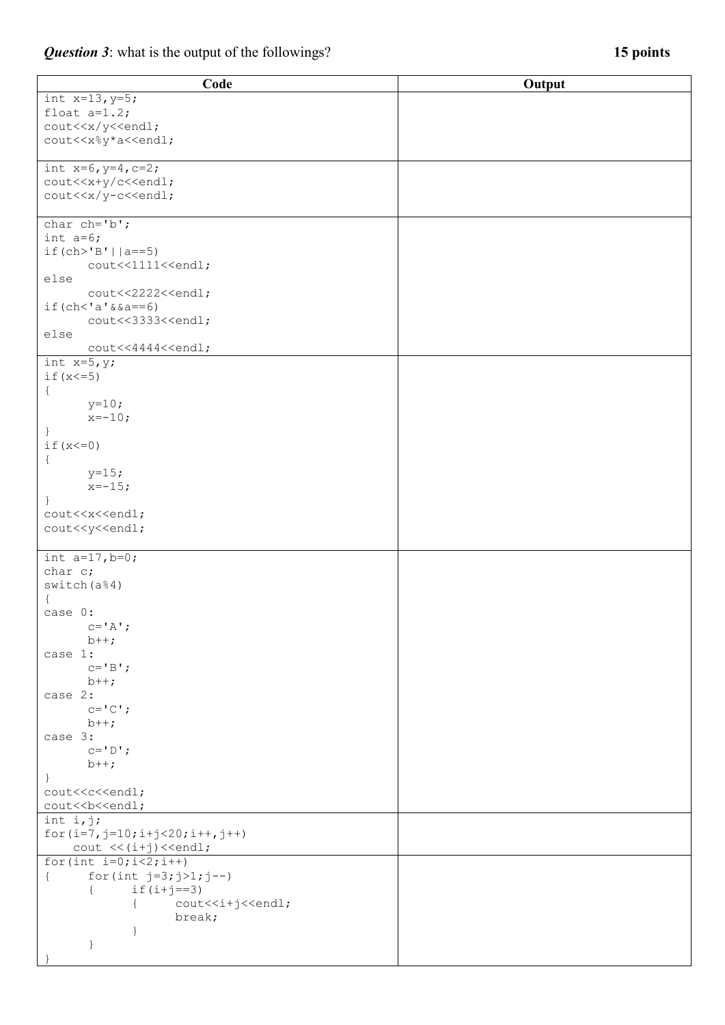| Code                                                 | Output |
|------------------------------------------------------|--------|
| int $x=13, y=5;$                                     |        |
| float $a=1.2$ ;                                      |        |
| cout< <x td="" y<<endl;<=""><td></td></x>            |        |
| cout< <x%y*a<<endl;< td=""><td></td></x%y*a<<endl;<> |        |
|                                                      |        |
| int $x=6$ , $y=4$ , $c=2$ ;                          |        |
| cout< <x+y c<<endl;<="" td=""><td></td></x+y>        |        |
| cout< <x td="" y-c<<endl;<=""><td></td></x>          |        |
|                                                      |        |
| char $ch='b'$ ;                                      |        |
| int $a=6$ ;                                          |        |
| $if(ch>'B'    a==5)$                                 |        |
| cout<<1111< <endl;< td=""><td></td></endl;<>         |        |
| else                                                 |        |
| cout<<2222< <endl;< td=""><td></td></endl;<>         |        |
| $if (ch < 'a' \& a == 6)$                            |        |
| cout<<3333< <endl;< td=""><td></td></endl;<>         |        |
| else                                                 |        |
| cout<<4444< <endl;< td=""><td></td></endl;<>         |        |
| int $x=5, y;$                                        |        |
| if $(x < = 5)$                                       |        |
| $\{$                                                 |        |
| $y=10;$                                              |        |
| $x=-10;$                                             |        |
| $\cdot$                                              |        |
| if $(x<=0)$                                          |        |
| $\{$                                                 |        |
| $y=15;$                                              |        |
| $x=-15;$                                             |        |
| $\}$                                                 |        |
| cout< <x<<endl;< td=""><td></td></x<<endl;<>         |        |
| cout< <y<<endl;< td=""><td></td></y<<endl;<>         |        |
|                                                      |        |
| int $a=17, b=0;$                                     |        |
| char c;                                              |        |
| switch(a <sup>84</sup> )                             |        |
| $\{$                                                 |        |
| case 0:                                              |        |
| $c = 'A';$<br>$b++;$                                 |        |
| case 1:                                              |        |
| $C = 'B';$                                           |        |
| $b++;$                                               |        |
| case 2:                                              |        |
| $C = \n\begin{bmatrix} C \\ 1 \end{bmatrix}$ ;       |        |
| $b++;$                                               |        |
| case 3:                                              |        |
| $C = 'D';$                                           |        |
| $b++;$                                               |        |
| $\}$                                                 |        |
| cout< <c<<endl;< td=""><td></td></c<<endl;<>         |        |
| cout< <b<<<endl;< td=""><td></td></b<<<endl;<>       |        |
| int i,j;                                             |        |
| for $(i=7, j=10; i+j<20; i++, j++)$                  |        |
| $\text{cut} \ll (i+j) \ll \text{end}$ ;              |        |
| for $(int i=0; i<2; i++)$                            |        |
| for (int $j=3; j>1; j--$ )<br>$\{$                   |        |
| $if(i+j==3)$                                         |        |
| cout< <i+j<<endl;< td=""><td></td></i+j<<endl;<>     |        |
| break;                                               |        |
| ł                                                    |        |
| $\}$                                                 |        |
|                                                      |        |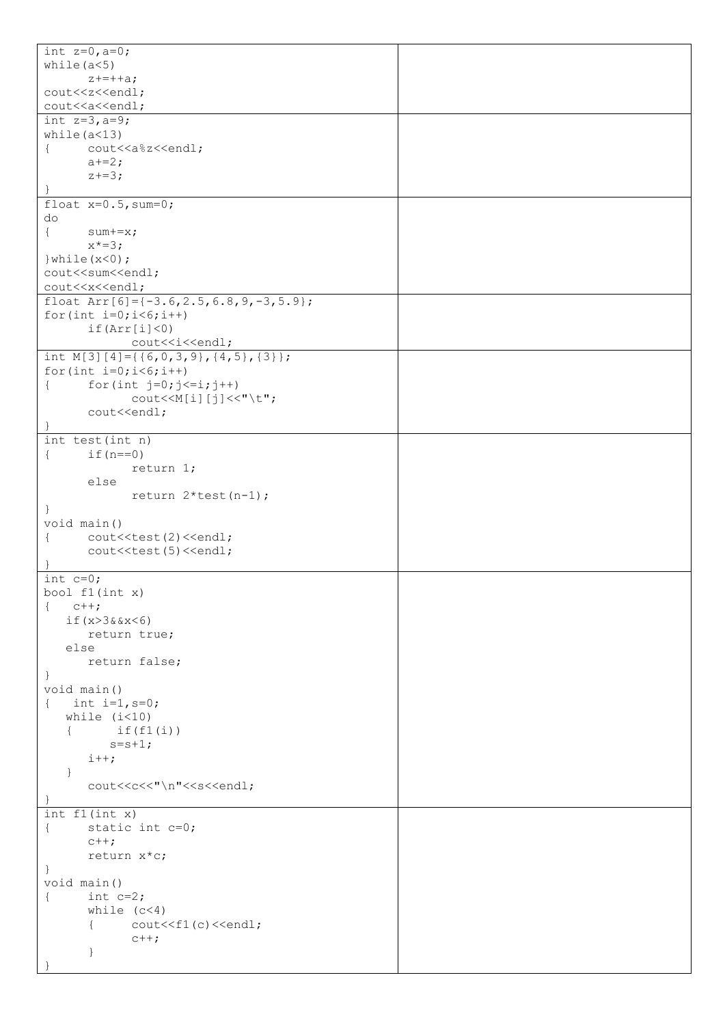| int $z=0$ , $a=0$ ;                                               |  |
|-------------------------------------------------------------------|--|
| while $(a<5)$                                                     |  |
| $z_{+}=++a;$                                                      |  |
|                                                                   |  |
| cout<<<<< <endl;< td=""><td></td></endl;<>                        |  |
| cout< <a<<endl;< td=""><td></td></a<<endl;<>                      |  |
| int $z=3, a=9;$                                                   |  |
| while $(a<13)$                                                    |  |
| cout< <a%z<<endl;<br><math>\left\{ \right.</math></a%z<<endl;<br> |  |
| $a+=2;$                                                           |  |
|                                                                   |  |
| $z+=3;$                                                           |  |
|                                                                   |  |
| float $x=0.5$ , sum=0;                                            |  |
| do                                                                |  |
| $\{$<br>$sum+=x;$                                                 |  |
| $x^* = 3;$                                                        |  |
| } while $(x<0)$ ;                                                 |  |
| cout< <sum<<endl;< td=""><td></td></sum<<endl;<>                  |  |
|                                                                   |  |
| cout< <x<<endl;< td=""><td></td></x<<endl;<>                      |  |
| float $Arr[6]=(-3.6, 2.5, 6.8, 9, -3, 5.9];$                      |  |
| for (int $i=0; i<6; i++)$                                         |  |
| if(Arr[i]<0)                                                      |  |
| cout< <i<<endl;< td=""><td></td></i<<endl;<>                      |  |
| int M[3][4]={{6,0,3,9},{4,5},{3}};                                |  |
|                                                                   |  |
| for (int $i=0; i<6; i++)$                                         |  |
| for $(int j=0; j<=i; j++)$<br>$\{$                                |  |
| $\text{count} \leq \text{M[i][j]} \leq \text{''t}$                |  |
| cout< <endl;< td=""><td></td></endl;<>                            |  |
|                                                                   |  |
| int test(int n)                                                   |  |
| if $(n == 0)$<br>$\{$                                             |  |
| return 1;                                                         |  |
|                                                                   |  |
| else                                                              |  |
| return $2*test(n-1)$ ;                                            |  |
|                                                                   |  |
| $\big\}$                                                          |  |
|                                                                   |  |
| void main ()                                                      |  |
| cout< <test(2)<<endl;<br><math>\{</math></test(2)<<endl;<br>      |  |
| cout< <test(5)<<endl;< td=""><td></td></test(5)<<endl;<>          |  |
|                                                                   |  |
| int $c=0$ ;                                                       |  |
| bool $f1(int x)$                                                  |  |
| $C++;$<br>$\{$                                                    |  |
| if $(x>3&8x<6)$                                                   |  |
|                                                                   |  |
| return true;                                                      |  |
| else                                                              |  |
| return false;                                                     |  |
| $\mathcal{F}$                                                     |  |
| void main ()                                                      |  |
| int $i=1, s=0;$<br>$\left\{ \right.$                              |  |
| while $(i<10)$                                                    |  |
| if(f1(i))<br>$\left\{ \right.$                                    |  |
|                                                                   |  |
| $s = s + 1;$                                                      |  |
| $i++;$                                                            |  |
| $\}$                                                              |  |
| cout< <c<<"\n"<<s<<endl;< td=""><td></td></c<<"\n"<<s<<endl;<>    |  |
|                                                                   |  |
| int f1(int x)                                                     |  |
| static int c=0;<br>$\{$                                           |  |
| $c++;$                                                            |  |
|                                                                   |  |
| return x*c;                                                       |  |
| $\mathcal{F}$                                                     |  |
| void main ()                                                      |  |
| int $c=2;$<br>€                                                   |  |
| while $(c<4)$                                                     |  |
| $\{$<br>$\text{cout} \leq \text{f1(c)} \leq \text{end1}$          |  |
| $c++;$                                                            |  |
| $\}$                                                              |  |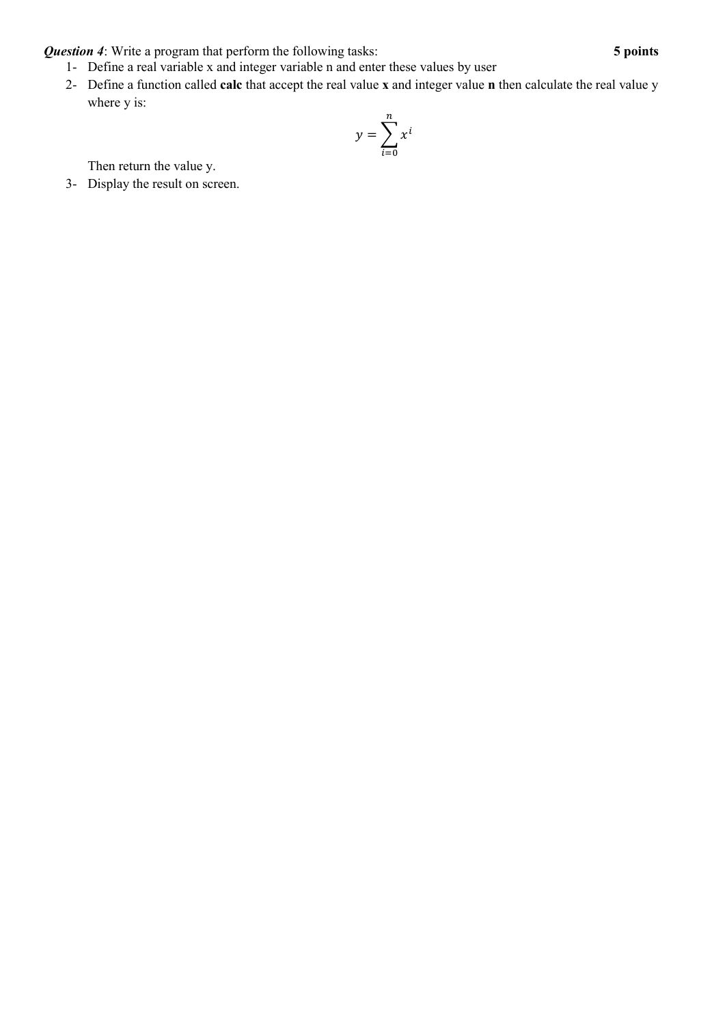*Question 4*: Write a program that perform the following tasks: **5 points**

- 1- Define a real variable x and integer variable n and enter these values by user
- 2- Define a function called **calc** that accept the real value **x** and integer value **n** then calculate the real value y where y is:

$$
y = \sum_{i=0}^{n} x^{i}
$$

Then return the value y.

3- Display the result on screen.